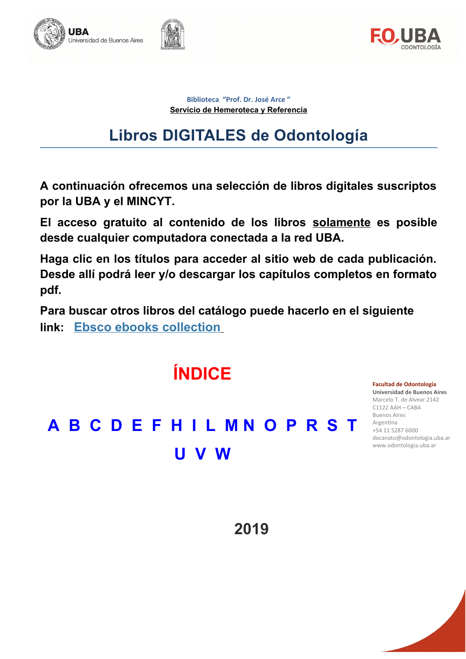



**Biblioteca "Prof. Dr. José Arce " Servicio de Hemeroteca y Referencia**

# **Libros DIGITALES de Odontología**

**A continuación ofrecemos una selección de libros digitales suscriptos por la UBA y el MINCYT.**

**El acceso gratuito al contenido de los libros solamente es posible desde cualquier computadora conectada a la red UBA.**

**Haga clic en los títulos para acceder al sitio web de cada publicación. Desde allí podrá leer y/o descargar los capítulos completos en formato pdf.**

**Para buscar otros libros del catálogo puede hacerlo en el siguiente link: [Ebsco ebooks collection](http://search.ebscohost.com/login.aspx?authtype=ip,uid&profile=ehost&defaultdb=nlebk)**



**2019**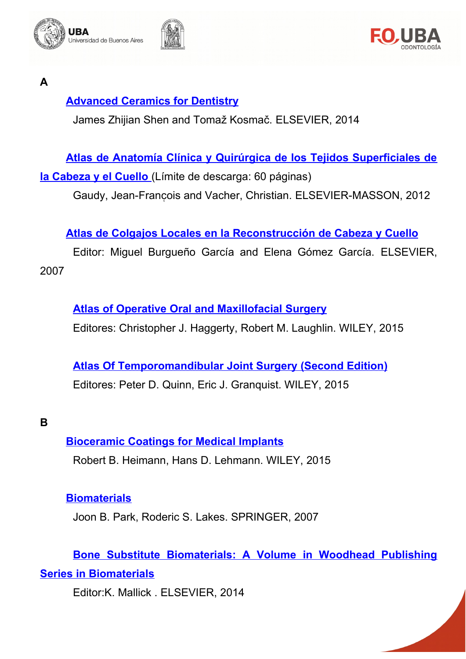





<span id="page-1-1"></span>**A**

# **Advanced Ceramics for Dentistry**

James Zhijian Shen and Tomaž Kosmač. ELSEVIER, 2014

# **Atlas de Anatomía Clínica y Quirúrgica de los Tejidos Superficiales de**

 **[la Cabeza y el Cuello](http://search.ebscohost.com/login.aspx?direct=true&db=nlebk&AN=808886&lang=es&site=ehost-live)** (Límite de descarga: 60 páginas)

Gaudy, Jean-François and Vacher, Christian. ELSEVIER-MASSON, 2012

# **Atlas de Colgajos Locales en la Reconstrucción de Cabeza y Cuello**

Editor: Miguel Burgueño García and Elena Gómez García. ELSEVIER, 2007

# **Atlas of Operative Oral and Maxillofacial Surgery**

Editores: Christopher J. Haggerty, Robert M. Laughlin. WILEY, 2015

# **Atlas Of Temporomandibular Joint Surgery (Second Edition)** Editores: Peter D. Quinn, Eric J. Granquist. WILEY, 2015

<span id="page-1-0"></span>**B**

# **Bioceramic Coatings for Medical Implants**

Robert B. Heimann, Hans D. Lehmann. WILEY, 2015

# **[Biomaterials](http://link.springer.com/book/10.1007%2F978-0-387-37880-0)**

Joon B. Park, Roderic S. Lakes. SPRINGER, 2007

# **Bone Substitute Biomaterials: A Volume in Woodhead Publishing Series in Biomaterials**

Editor:K. Mallick . ELSEVIER, 2014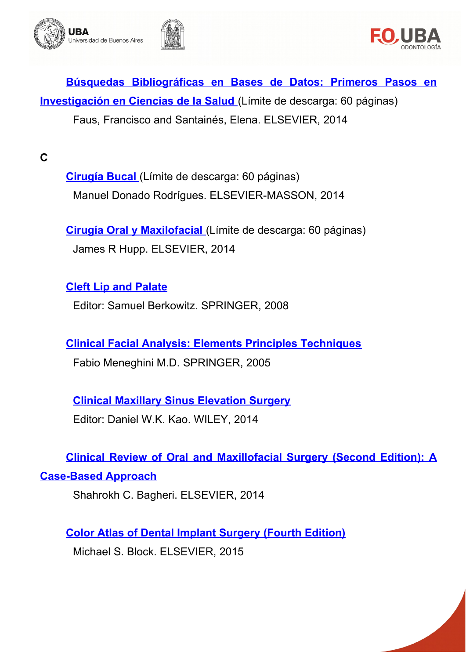



**[Búsquedas Bibliográficas en Bases de Datos: Primeros Pasos en](http://search.ebscohost.com/login.aspx?direct=true&db=nlebk&lang=es&site=ehost-live&scope=site&AN=973334)  [Investigación en Ciencias de la Salud](http://search.ebscohost.com/login.aspx?direct=true&db=nlebk&lang=es&site=ehost-live&scope=site&AN=973334)** (Límite de descarga: 60 páginas) Faus, Francisco and Santainés, Elena. ELSEVIER, 2014

<span id="page-2-0"></span>**C**

**Cirugía Bucal** (Límite de descarga: 60 páginas) Manuel Donado Rodrígues. ELSEVIER-MASSON, 2014

 **[Cirugía Oral y Maxilofacial](http://search.ebscohost.com/login.aspx?direct=true&db=nlebk&lang=es&site=ehost-live&scope=site&AN=974485)** (Límite de descarga: 60 páginas) James R Hupp. ELSEVIER, 2014

# **Cleft Lip and Palate**

Editor: Samuel Berkowitz. SPRINGER, 2008

**[Clinical Facial Analysis: Elements Principles Techniques](https://link.springer.com/book/10.1007/b138742)**

Fabio Meneghini M.D. SPRINGER, 2005

**[Clinical Maxillary Sinus Elevation Surgery](http://onlinelibrary.wiley.com/book/10.1002/9781118871331)** Editor: Daniel W.K. Kao. WILEY, 2014

**Clinical Review of Oral and Maxillofacial Surgery (Second Edition): A** 

**[Case-Based Approach](http://www.sciencedirect.com/science/book/9780323171267)**

Shahrokh C. Bagheri. ELSEVIER, 2014

**[Color Atlas of Dental Implant Surgery \(Fourth Edition\)](http://www.sciencedirect.com/science/book/9781455759682)** Michael S. Block. ELSEVIER, 2015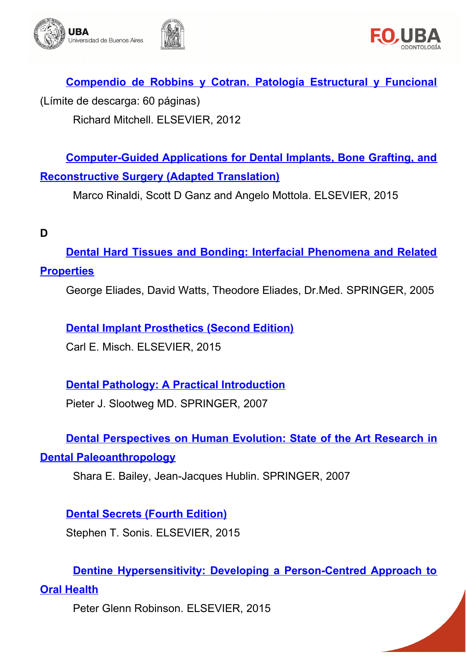



**Compendio de Robbins y Cotran. Patología Estructural y Funcional** (Límite de descarga: 60 páginas) Richard Mitchell. ELSEVIER, 2012

**[Computer-Guided Applications for Dental Implants, Bone Grafting, and](http://www.sciencedirect.com/science/book/9780323278034) [Reconstructive Surgery \(Adapted Translation\)](http://www.sciencedirect.com/science/book/9780323278034)**

Marco Rinaldi, Scott D Ganz and Angelo Mottola. ELSEVIER, 2015

#### <span id="page-3-0"></span>**D**

**[Dental Hard Tissues and Bonding: Interfacial Phenomena and Related](http://link.springer.com/book/10.1007%2F3-540-28559-8) [Properties](http://link.springer.com/book/10.1007%2F3-540-28559-8)**

George Eliades, David Watts, Theodore Eliades, Dr.Med. SPRINGER, 2005

#### **[Dental Implant Prosthetics \(Second Edition\)](http://www.sciencedirect.com/science/book/9780323078450)**

Carl E. Misch. ELSEVIER, 2015

# **[Dental Pathology: A Practical Introduction](http://link.springer.com/book/10.1007%2F978-3-540-71691-4)**

Pieter J. Slootweg MD. SPRINGER, 2007

**Dental Perspectives on Human Evolution: State of the Art Research in [Dental Paleoanthropology](http://link.springer.com/book/10.1007%2F978-1-4020-5845-5)**

Shara E. Bailey, Jean-Jacques Hublin. SPRINGER, 2007

**[Dental Secrets \(Fourth Edition\)](http://www.sciencedirect.com/science/book/9780323262781)** Stephen T. Sonis. ELSEVIER, 2015

**[Dentine Hypersensitivity: Developing a Person-Centred Approach to](http://www.sciencedirect.com/science/book/9780128016312)**

# **[Oral Health](http://www.sciencedirect.com/science/book/9780128016312)**

Peter Glenn Robinson. ELSEVIER, 2015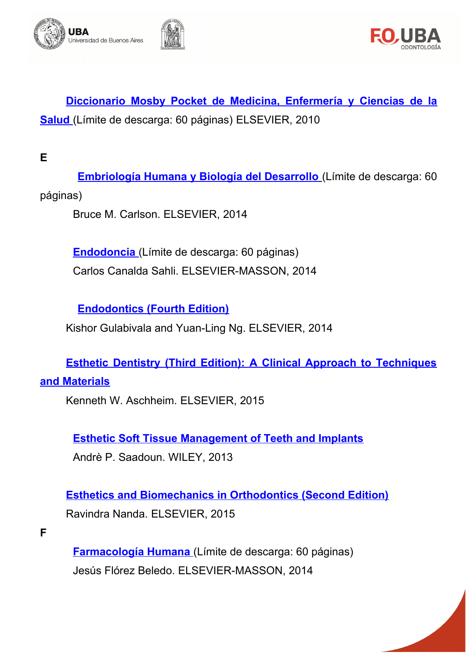



**[Diccionario Mosby Pocket de Medicina, Enfermería y Ciencias de la](http://search.ebscohost.com/login.aspx?direct=true&db=nlebk&lang=es&site=ehost-live&scope=site&AN=973168)  [Salud](http://search.ebscohost.com/login.aspx?direct=true&db=nlebk&lang=es&site=ehost-live&scope=site&AN=973168)** (Límite de descarga: 60 páginas) ELSEVIER, 2010

<span id="page-4-1"></span>**E**

 **[Embriología Humana y Biología del Desarrollo](http://search.ebscohost.com/login.aspx?direct=true&db=nlebk&lang=es&site=ehost-live&scope=site&AN=973267)** (Límite de descarga: 60 páginas)

Bruce M. Carlson. ELSEVIER, 2014

**Endodoncia** (Límite de descarga: 60 páginas) Carlos Canalda Sahli. ELSEVIER-MASSON, 2014

**[Endodontics \(Fourth Edition\)](http://www.sciencedirect.com/science/book/9780702031557)**

Kishor Gulabivala and Yuan-Ling Ng. ELSEVIER, 2014

**[Esthetic Dentistry \(Third Edition\): A Clinical Approach to Techniques](http://www.sciencedirect.com/science/book/9780323091763)**

#### **[and Materials](http://www.sciencedirect.com/science/book/9780323091763)**

Kenneth W. Aschheim. ELSEVIER, 2015

**[Esthetic Soft Tissue Management of Teeth and Implants](http://onlinelibrary.wiley.com/book/10.1002/9781118702673)**

Andrè P. Saadoun. WILEY, 2013

**[Esthetics and Biomechanics in Orthodontics \(Second Edition\)](http://www.sciencedirect.com/science/book/9781455750856)** Ravindra Nanda. ELSEVIER, 2015

<span id="page-4-0"></span>**F**

 **[Farmacología Humana](http://search.ebscohost.com/login.aspx?direct=true&db=nlebk&lang=es&site=ehost-live&scope=site&AN=974488)** (Límite de descarga: 60 páginas) Jesús Flórez Beledo. ELSEVIER-MASSON, 2014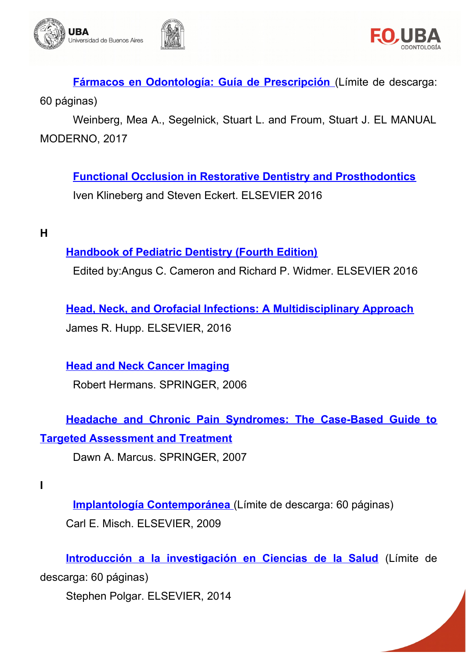



 **[Fármacos en Odontología: Guía de Prescripción](http://search.ebscohost.com/login.aspx?direct=true&db=nlebk&lang=es&site=ehost-live&scope=site&AN=855193)** (Límite de descarga:

60 páginas)

Weinberg, Mea A., Segelnick, Stuart L. and Froum, Stuart J. EL MANUAL MODERNO, 2017

**[Functional Occlusion in Restorative Dentistry and Prosthodontics](http://www.sciencedirect.com/science/book/9780723438090)** Iven Klineberg and Steven Eckert. ELSEVIER 2016

<span id="page-5-1"></span>**H**

#### **[Handbook of Pediatric Dentistry \(Fourth Edition\)](http://www.sciencedirect.com/science/book/9780723436959)**

Edited by:Angus C. Cameron and Richard P. Widmer. ELSEVIER 2016

**[Head, Neck, and Orofacial Infections: A Multidisciplinary Approach](http://www.sciencedirect.com/science/book/9780323289450)** James R. Hupp. ELSEVIER, 2016

**[Head and Neck Cancer Imaging](http://link.springer.com/book/10.1007%2F3-540-33066-6)** Robert Hermans. SPRINGER, 2006

# **[Headache and Chronic Pain Syndromes: The Case-Based Guide to](http://link.springer.com/book/10.1007%2F978-1-59745-258-8) [Targeted Assessment and Treatment](http://link.springer.com/book/10.1007%2F978-1-59745-258-8)**

Dawn A. Marcus. SPRINGER, 2007

<span id="page-5-0"></span>**I**

 **[Implantología Contemporánea](http://search.ebscohost.com/login.aspx?direct=true&db=nlebk&lang=es&site=ehost-live&scope=site&AN=973248)** (Límite de descarga: 60 páginas)

Carl E. Misch. ELSEVIER, 2009

**[Introducción a la investigación en Ciencias de la Salud](http://search.ebscohost.com/login.aspx?direct=true&db=nlebk&lang=es&site=ehost-live&scope=site&AN=973268)** (Límite de

descarga: 60 páginas)

Stephen Polgar. ELSEVIER, 2014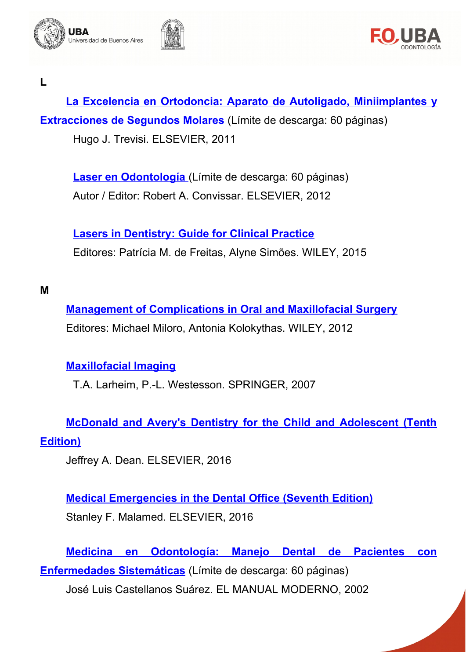





<span id="page-6-1"></span>**L**

La Excelencia en Ortodoncia: Aparato de Autoligado, Miniimplantes y **Extracciones de Segundos Molares** (Límite de descarga: 60 páginas) Hugo J. Trevisi. ELSEVIER, 2011

 **[Laser en Odontología](http://search.ebscohost.com/login.aspx?direct=true&db=nlebk&AN=973172&lang=es&site=ehost-live)** (Límite de descarga: 60 páginas) Autor / Editor: Robert A. Convissar. ELSEVIER, 2012

**[Lasers in Dentistry: Guide for Clinical Practice](http://onlinelibrary.wiley.com/book/10.1002/9781118987742)** Editores: Patrícia M. de Freitas, Alyne Simões. WILEY, 2015

<span id="page-6-0"></span>**M**

**[Management of Complications in Oral and Maxillofacial Surgery](http://onlinelibrary.wiley.com/book/10.1002/9781118704493)** Editores: Michael Miloro, Antonia Kolokythas. WILEY, 2012

# **[Maxillofacial Imaging](http://link.springer.com/book/10.1007%2F3-540-29829-0)**

T.A. Larheim, P.-L. Westesson. SPRINGER, 2007

**[McDonald and Avery's Dentistry for the Child and Adolescent \(Tenth](http://www.sciencedirect.com/science/book/9780323287456) [Edition\)](http://www.sciencedirect.com/science/book/9780323287456)**

Jeffrey A. Dean. ELSEVIER, 2016

**[Medical Emergencies in the Dental Office \(Seventh Edition\)](http://www.sciencedirect.com/science/book/9780323171229)** Stanley F. Malamed. ELSEVIER, 2016

**[Medicina en Odontología: Manejo Dental de Pacientes con](http://search.ebscohost.com/login.aspx?direct=true&db=nlebk&lang=es&site=ehost-live&scope=site&AN=855224) [Enfermedades Sistemáticas](http://search.ebscohost.com/login.aspx?direct=true&db=nlebk&lang=es&site=ehost-live&scope=site&AN=855224)** (Límite de descarga: 60 páginas) José Luis Castellanos Suárez. EL MANUAL MODERNO, 2002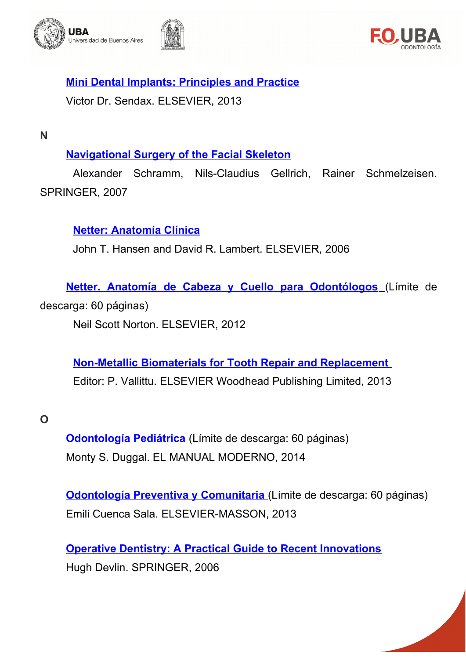





**[Mini Dental Implants: Principles and Practice](http://www.sciencedirect.com/science/book/9781455743865)**

Victor Dr. Sendax. ELSEVIER, 2013

<span id="page-7-1"></span>**N**

# **[Navigational Surgery of the Facial Skeleton](http://link.springer.com/book/10.1007%2F978-3-540-68627-9)**

Alexander Schramm, Nils-Claudius Gellrich, Rainer Schmelzeisen. SPRINGER, 2007

**[Netter: Anatomía Clínica](http://www.sciencedirect.com/science/book/9788445815809)**

John T. Hansen and David R. Lambert. ELSEVIER, 2006

 **[Netter. Anatomía de Cabeza y Cuello para Odontólogos](http://search.ebscohost.com/login.aspx?direct=true&db=nlebk&lang=es&site=ehost-live&scope=site&AN=808900)** (Límite de

descarga: 60 páginas)

Neil Scott Norton. ELSEVIER, 2012

**[Non-Metallic Biomaterials for Tooth Repair and Replacement](http://www.sciencedirect.com/science/book/9780857092441)**  Editor: P. Vallittu. ELSEVIER Woodhead Publishing Limited, 2013

<span id="page-7-0"></span>**O**

 **[Odontología Pediátrica](http://search.ebscohost.com/login.aspx?direct=true&db=nlebk&lang=es&site=ehost-live&scope=site&AN=855203)** (Límite de descarga: 60 páginas) Monty S. Duggal. EL MANUAL MODERNO, 2014

 **[Odontología Preventiva y Comunitaria](http://search.ebscohost.com/login.aspx?direct=true&db=nlebk&lang=es&site=ehost-live&scope=site&AN=973341)** (Límite de descarga: 60 páginas) Emili Cuenca Sala. ELSEVIER-MASSON, 2013

**[Operative Dentistry: A Practical Guide to Recent Innovations](http://link.springer.com/book/10.1007%2F3-540-29618-2)** Hugh Devlin. SPRINGER, 2006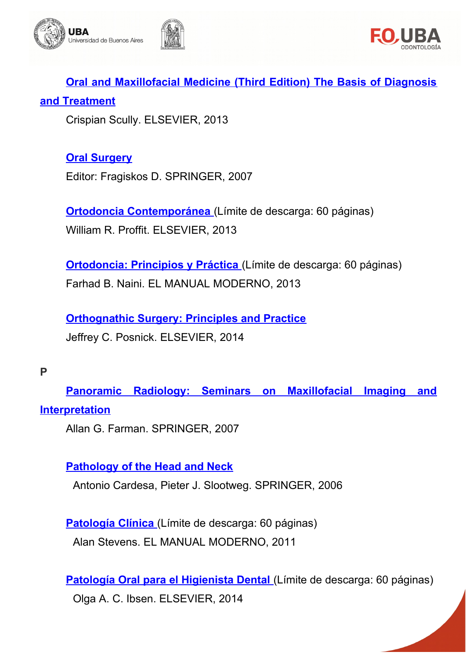



**[Oral and Maxillofacial Medicine \(Third Edition\) The Basis of Diagnosis](http://www.sciencedirect.com/science/book/9780702049484) [and Treatment](http://www.sciencedirect.com/science/book/9780702049484)**

Crispian Scully. ELSEVIER, 2013

# **[Oral Surgery](http://link.springer.com/book/10.1007%2F978-3-540-49975-6)**

Editor: Fragiskos D. SPRINGER, 2007

 **[Ortodoncia Contemporánea](http://search.ebscohost.com/login.aspx?direct=true&db=nlebk&lang=es&site=ehost-live&scope=site&AN=973297)** (Límite de descarga: 60 páginas) William R. Proffit. ELSEVIER, 2013

**Ortodoncia: Principios y Práctica** (Límite de descarga: 60 páginas) Farhad B. Naini. EL MANUAL MODERNO, 2013

**[Orthognathic Surgery: Principles and Practice](http://www.sciencedirect.com/science/book/9781455726981)** Jeffrey C. Posnick. ELSEVIER, 2014

#### <span id="page-8-0"></span>**P**

**Panoramic Radiology: Seminars on Maxillofacial Imaging and [Interpretation](http://link.springer.com/book/10.1007%2F978-3-540-46230-9)**

Allan G. Farman. SPRINGER, 2007

# **[Pathology of the Head and Neck](http://link.springer.com/book/10.1007%2F3-540-30629-3)**

Antonio Cardesa, Pieter J. Slootweg. SPRINGER, 2006

 **[Patología Clínica](http://search.ebscohost.com/login.aspx?direct=true&db=nlebk&lang=es&site=ehost-live&scope=site&AN=855156)** (Límite de descarga: 60 páginas) Alan Stevens. EL MANUAL MODERNO, 2011

 **[Patología Oral para el Higienista Dental](http://search.ebscohost.com/login.aspx?direct=true&db=nlebk&lang=es&site=ehost-live&scope=site&AN=973290)** (Límite de descarga: 60 páginas)

Olga A. C. Ibsen. ELSEVIER, 2014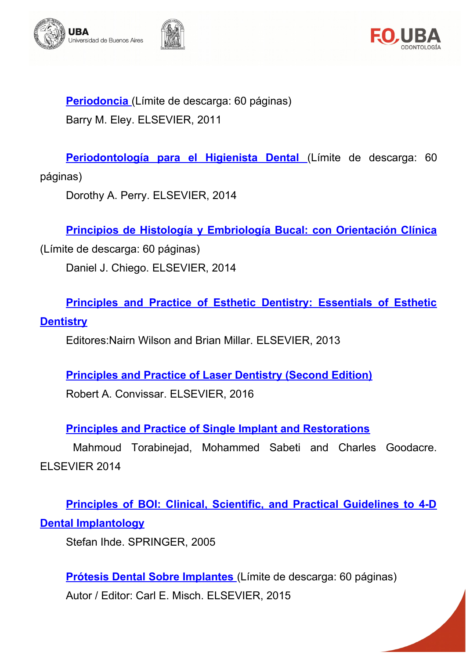



 **[Periodoncia](http://search.ebscohost.com/login.aspx?direct=true&db=nlebk&lang=es&site=ehost-live&scope=site&AN=973196)** (Límite de descarga: 60 páginas) Barry M. Eley. ELSEVIER, 2011

 **[Periodontología para el Higienista Dental](http://search.ebscohost.com/login.aspx?direct=true&db=nlebk&lang=es&site=ehost-live&scope=site&AN=973242)** (Límite de descarga: 60

páginas)

Dorothy A. Perry. ELSEVIER, 2014

**[Principios de Histología y Embriología Bucal: con Orientación Clínica](http://search.ebscohost.com/login.aspx?direct=true&db=nlebk&lang=es&site=ehost-live&scope=site&AN=973273)**

(Límite de descarga: 60 páginas) Daniel J. Chiego. ELSEVIER, 2014

**[Principles and Practice of Esthetic Dentistry: Essentials of Esthetic](http://www.sciencedirect.com/science/book/9780723455585) [Dentistry](http://www.sciencedirect.com/science/book/9780723455585)**

Editores:Nairn Wilson and Brian Millar. ELSEVIER, 2013

**[Principles and Practice of Laser Dentistry \(Second Edition\)](http://www.sciencedirect.com/science/book/9780323297622)**

Robert A. Convissar. ELSEVIER, 2016

**[Principles and Practice of Single Implant and Restorations](http://www.sciencedirect.com/science/book/9781455744763)**

Mahmoud Torabinejad, Mohammed Sabeti and Charles Goodacre. ELSEVIER 2014

**[Principles of BOI: Clinical, Scientific, and Practical Guidelines to 4-D](http://link.springer.com/book/10.1007%2Fb138420) [Dental Implantology](http://link.springer.com/book/10.1007%2Fb138420)**

[Stefan Ihde. S](http://link.springer.com/search?facet-creator=%22Stefan+Ihde+Dr.%22)PRINGER, 2005

 **[Prótesis Dental Sobre Implantes](http://bit.ly/237ZfnG)** (Límite de descarga: 60 páginas) Autor / Editor: Carl E. Misch. ELSEVIER, 2015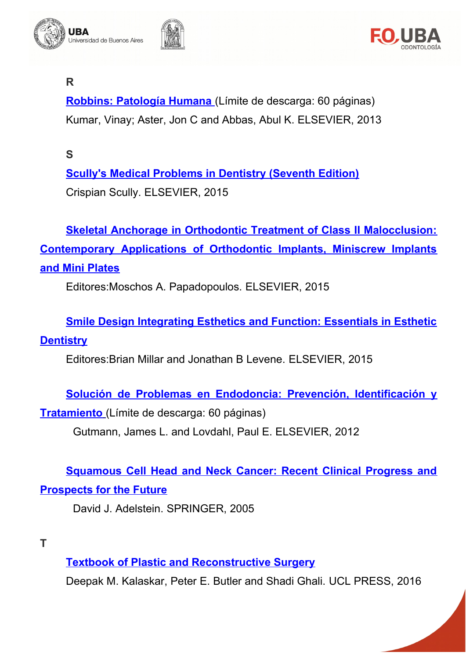





# <span id="page-10-2"></span>**R**

 **[Robbins: Patología Humana](http://search.ebscohost.com/login.aspx?direct=true&db=nlebk&lang=es&site=ehost-live&scope=site&AN=973238)** (Límite de descarga: 60 páginas) Kumar, Vinay; Aster, Jon C and Abbas, Abul K. ELSEVIER, 2013

<span id="page-10-1"></span>**S**

**[Scully's Medical Problems in Dentistry \(Seventh Edition\)](http://www.sciencedirect.com/science/book/9780702054013)** Crispian Scully. ELSEVIER, 2015

**[Skeletal Anchorage in Orthodontic Treatment of Class II Malocclusion:](http://www.sciencedirect.com/science/book/9780723436492) [Contemporary Applications of Orthodontic Implants, Miniscrew Implants](http://www.sciencedirect.com/science/book/9780723436492) [and Mini Plates](http://www.sciencedirect.com/science/book/9780723436492)**

Editores:Moschos A. Papadopoulos. ELSEVIER, 2015

**[Smile Design Integrating Esthetics and Function: Essentials in Esthetic](http://www.sciencedirect.com/science/book/9780723435556) [Dentistry](http://www.sciencedirect.com/science/book/9780723435556)**

Editores:Brian Millar and Jonathan B Levene. ELSEVIER, 2015

**[Solución de Problemas en Endodoncia: Prevención, Identificación y](http://search.ebscohost.com/login.aspx?direct=true&db=nlebk&lang=es&site=ehost-live&scope=site&AN=973214)**

 **[Tratamiento](http://search.ebscohost.com/login.aspx?direct=true&db=nlebk&lang=es&site=ehost-live&scope=site&AN=973214)** (Límite de descarga: 60 páginas)

Gutmann, James L. and Lovdahl, Paul E. ELSEVIER, 2012

**[Squamous Cell Head and Neck Cancer: Recent Clinical Progress and](http://link.springer.com/book/10.1007%2F978-1-59259-938-7)**

#### **[Prospects for the Future](http://link.springer.com/book/10.1007%2F978-1-59259-938-7)**

David J. Adelstein. SPRINGER, 2005

<span id="page-10-0"></span>**T**

**[Textbook of Plastic and Reconstructive Surgery](http://www.jstor.org/stable/j.ctt1g69xq0)**

Deepak M. Kalaskar, Peter E. Butler and Shadi Ghali. UCL PRESS, 2016